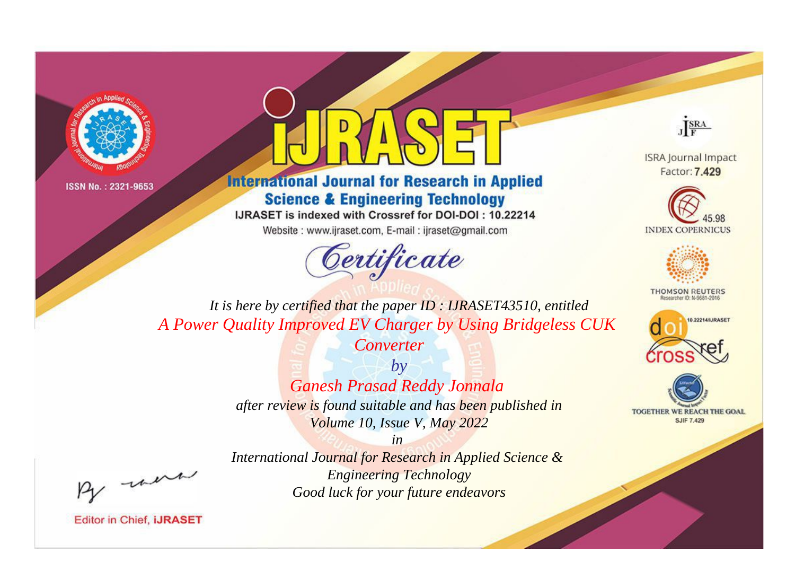



**International Journal for Research in Applied Science & Engineering Technology** 

IJRASET is indexed with Crossref for DOI-DOI: 10.22214

Website: www.ijraset.com, E-mail: ijraset@gmail.com





**ISRA Journal Impact** Factor: 7.429





**THOMSON REUTERS** 



TOGETHER WE REACH THE GOAL **SJIF 7.429** 

*It is here by certified that the paper ID : IJRASET43510, entitled A Power Quality Improved EV Charger by Using Bridgeless CUK* 

*Converter*

*by Ganesh Prasad Reddy Jonnala after review is found suitable and has been published in Volume 10, Issue V, May 2022*

, un

*International Journal for Research in Applied Science & Engineering Technology Good luck for your future endeavors*

*in*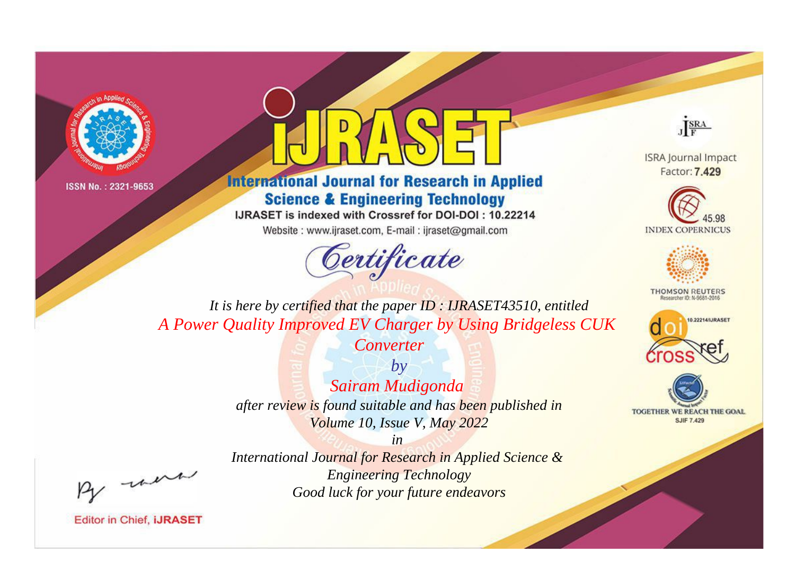



**International Journal for Research in Applied Science & Engineering Technology** 

IJRASET is indexed with Crossref for DOI-DOI: 10.22214

Website: www.ijraset.com, E-mail: ijraset@gmail.com



JERA

**ISRA Journal Impact** Factor: 7.429





**THOMSON REUTERS** 



TOGETHER WE REACH THE GOAL **SJIF 7.429** 

It is here by certified that the paper ID: IJRASET43510, entitled A Power Quality Improved EV Charger by Using Bridgeless CUK

Converter

 $by$ Sairam Mudigonda after review is found suitable and has been published in Volume 10, Issue V, May 2022

were

International Journal for Research in Applied Science & **Engineering Technology** Good luck for your future endeavors

 $in$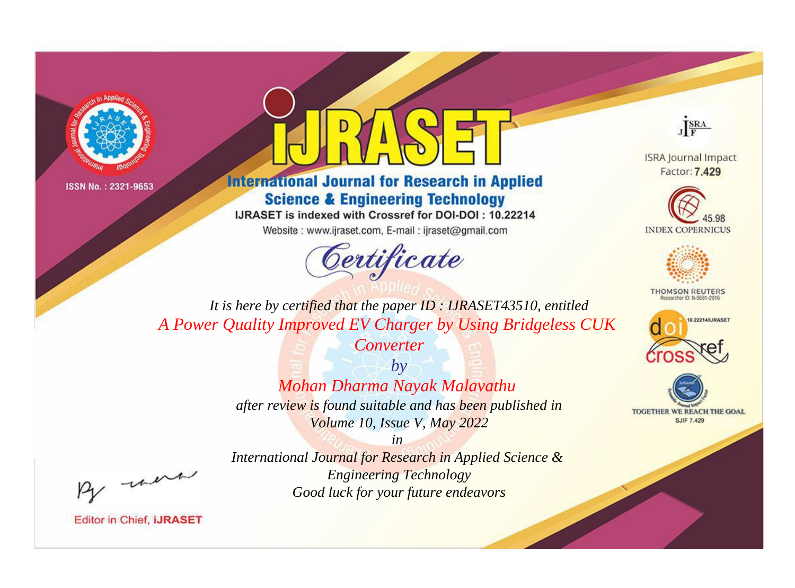



**International Journal for Research in Applied Science & Engineering Technology** 

IJRASET is indexed with Crossref for DOI-DOI: 10.22214

Website: www.ijraset.com, E-mail: ijraset@gmail.com





**ISRA Journal Impact** Factor: 7.429





**THOMSON REUTERS** 



TOGETHER WE REACH THE GOAL **SJIF 7.429** 

*It is here by certified that the paper ID : IJRASET43510, entitled A Power Quality Improved EV Charger by Using Bridgeless CUK* 

*Converter*

*by Mohan Dharma Nayak Malavathu after review is found suitable and has been published in Volume 10, Issue V, May 2022*

*in International Journal for Research in Applied Science & Engineering Technology Good luck for your future endeavors*

, un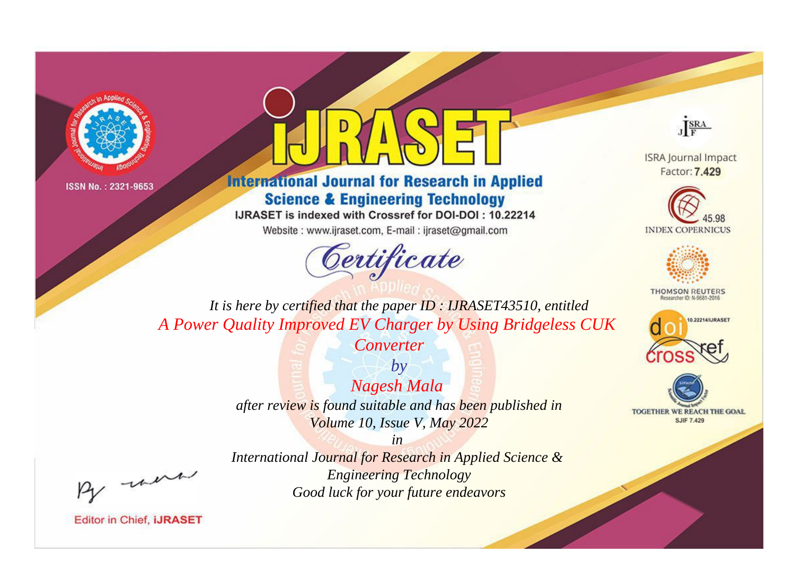



**International Journal for Research in Applied Science & Engineering Technology** 

IJRASET is indexed with Crossref for DOI-DOI: 10.22214

Website: www.ijraset.com, E-mail: ijraset@gmail.com



JERA

**ISRA Journal Impact** Factor: 7.429





**THOMSON REUTERS** 



TOGETHER WE REACH THE GOAL **SJIF 7.429** 

It is here by certified that the paper ID: IJRASET43510, entitled A Power Quality Improved EV Charger by Using Bridgeless CUK

Converter

 $b\nu$ **Nagesh Mala** after review is found suitable and has been published in Volume 10, Issue V, May 2022

were

International Journal for Research in Applied Science & **Engineering Technology** Good luck for your future endeavors

 $in$